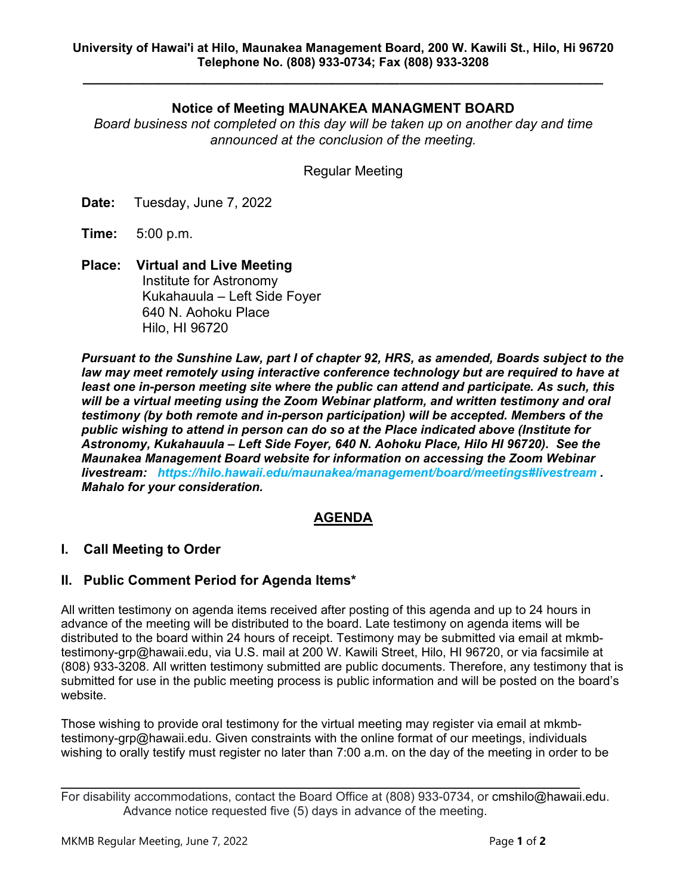**\_\_\_\_\_\_\_\_\_\_\_\_\_\_\_\_\_\_\_\_\_\_\_\_\_\_\_\_\_\_\_\_\_\_\_\_\_\_\_\_\_\_\_\_\_\_\_\_\_\_\_\_\_\_\_\_\_\_\_\_\_\_\_\_\_\_\_\_\_**

# **Notice of Meeting MAUNAKEA MANAGMENT BOARD**

*Board business not completed on this day will be taken up on another day and time announced at the conclusion of the meeting.*

Regular Meeting

**Date:** Tuesday, June 7, 2022

**Time:** 5:00 p.m.

**Place: Virtual and Live Meeting** Institute for Astronomy Kukahauula – Left Side Foyer 640 N. Aohoku Place Hilo, HI 96720

*Pursuant to the Sunshine Law, part I of chapter 92, HRS, as amended, Boards subject to the*  law may meet remotely using interactive conference technology but are required to have at *least one in-person meeting site where the public can attend and participate. As such, this will be a virtual meeting using the Zoom Webinar platform, and written testimony and oral testimony (by both remote and in-person participation) will be accepted. Members of the public wishing to attend in person can do so at the Place indicated above (Institute for Astronomy, Kukahauula – Left Side Foyer, 640 N. Aohoku Place, Hilo HI 96720). See the Maunakea Management Board website for information on accessing the Zoom Webinar livestream: https://hilo.hawaii.edu/maunakea/management/board/meetings#livestream . Mahalo for your consideration.*

## **AGENDA**

## **I. Call Meeting to Order**

## **II. Public Comment Period for Agenda Items\***

All written testimony on agenda items received after posting of this agenda and up to 24 hours in advance of the meeting will be distributed to the board. Late testimony on agenda items will be distributed to the board within 24 hours of receipt. Testimony may be submitted via email at mkmbtestimony-grp@hawaii.edu, via U.S. mail at 200 W. Kawili Street, Hilo, HI 96720, or via facsimile at (808) 933-3208. All written testimony submitted are public documents. Therefore, any testimony that is submitted for use in the public meeting process is public information and will be posted on the board's website.

Those wishing to provide oral testimony for the virtual meeting may register via email at mkmbtestimony-grp@hawaii.edu. Given constraints with the online format of our meetings, individuals wishing to orally testify must register no later than 7:00 a.m. on the day of the meeting in order to be

For disability accommodations, contact the Board Office at (808) 933-0734, or cmshilo@hawaii.edu. Advance notice requested five (5) days in advance of the meeting.

 $\mathcal{L}_\mathcal{L} = \mathcal{L}_\mathcal{L} = \mathcal{L}_\mathcal{L} = \mathcal{L}_\mathcal{L} = \mathcal{L}_\mathcal{L} = \mathcal{L}_\mathcal{L} = \mathcal{L}_\mathcal{L} = \mathcal{L}_\mathcal{L} = \mathcal{L}_\mathcal{L} = \mathcal{L}_\mathcal{L} = \mathcal{L}_\mathcal{L} = \mathcal{L}_\mathcal{L} = \mathcal{L}_\mathcal{L} = \mathcal{L}_\mathcal{L} = \mathcal{L}_\mathcal{L} = \mathcal{L}_\mathcal{L} = \mathcal{L}_\mathcal{L}$